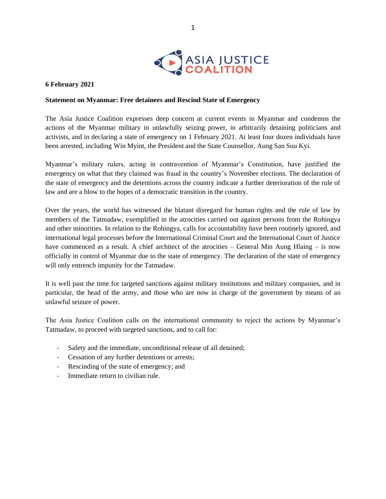

## **6 February 2021**

## **Statement on Myanmar: Free detainees and Rescind State of Emergency**

The Asia Justice Coalition expresses deep concern at current events in Myanmar and condemns the actions of the Myanmar military in unlawfully seizing power, in arbitrarily detaining politicians and activists, and in declaring a state of emergency on 1 February 2021. At least four dozen individuals have been arrested, including Win Myint, the President and the State Counsellor, Aung San Suu Kyi.

Myanmar's military rulers, acting in contravention of Myanmar's Constitution, have justified the emergency on what that they claimed was fraud in the country's November elections. The declaration of the state of emergency and the detentions across the country indicate a further deterioration of the rule of law and are a blow to the hopes of a democratic transition in the country.

Over the years, the world has witnessed the blatant disregard for human rights and the rule of law by members of the Tatmadaw, exemplified in the atrocities carried out against persons from the Rohingya and other minorities. In relation to the Rohingya, calls for accountability have been routinely ignored, and international legal processes before the International Criminal Court and the International Court of Justice have commenced as a result. A chief architect of the atrocities – General Min Aung Hlaing – is now officially in control of Myanmar due to the state of emergency. The declaration of the state of emergency will only entrench impunity for the Tatmadaw.

It is well past the time for targeted sanctions against military institutions and military companies, and in particular, the head of the army, and those who are now in charge of the government by means of an unlawful seizure of power.

The Asia Justice Coalition calls on the international community to reject the actions by Myanmar's Tatmadaw, to proceed with targeted sanctions, and to call for:

- Safety and the immediate, unconditional release of all detained;
- Cessation of any further detentions or arrests;
- Rescinding of the state of emergency; and
- Immediate return to civilian rule.